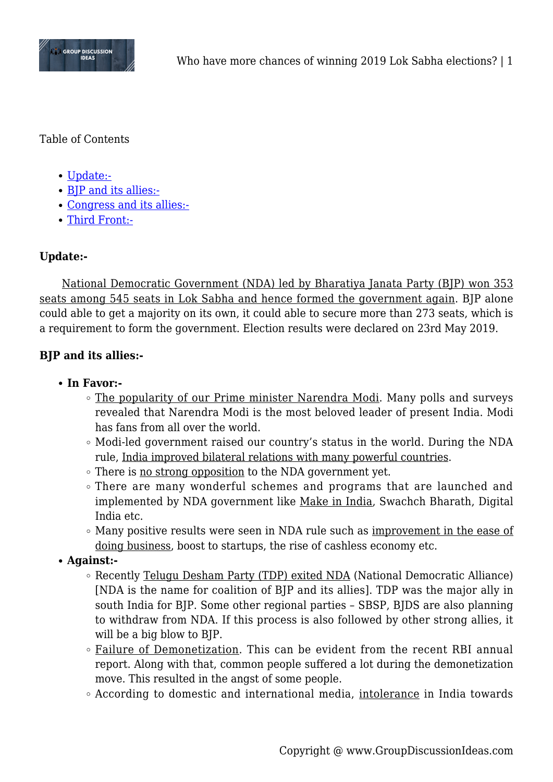

Table of Contents

- [Update:-](#page--1-0)
- [BJP and its allies:-](#page--1-0)
- [Congress and its allies:-](#page--1-0)
- [Third Front:-](#page--1-0)

# **Update:-**

National Democratic Government (NDA) led by Bharatiya Janata Party (BJP) won 353 seats among 545 seats in Lok Sabha and hence formed the government again. BJP alone could able to get a majority on its own, it could able to secure more than 273 seats, which is a requirement to form the government. Election results were declared on 23rd May 2019.

## **BJP and its allies:-**

- **In Favor:-**
	- The popularity of our Prime minister Narendra Modi. Many polls and surveys revealed that Narendra Modi is the most beloved leader of present India. Modi has fans from all over the world.
	- Modi-led government raised our country's status in the world. During the NDA rule, India improved bilateral relations with many powerful countries.
	- There is <u>no strong opposition</u> to the NDA government yet.
	- There are many wonderful schemes and programs that are launched and implemented by NDA government like Make in India, Swachch Bharath, Digital India etc.
	- Many positive results were seen in NDA rule such as improvement in the ease of doing business, boost to startups, the rise of cashless economy etc.
- **Against:-**
	- Recently Telugu Desham Party (TDP) exited NDA (National Democratic Alliance) [NDA is the name for coalition of BJP and its allies]. TDP was the major ally in south India for BJP. Some other regional parties – SBSP, BJDS are also planning to withdraw from NDA. If this process is also followed by other strong allies, it will be a big blow to BJP.
	- Failure of Demonetization. This can be evident from the recent RBI annual report. Along with that, common people suffered a lot during the demonetization move. This resulted in the angst of some people.
	- According to domestic and international media, intolerance in India towards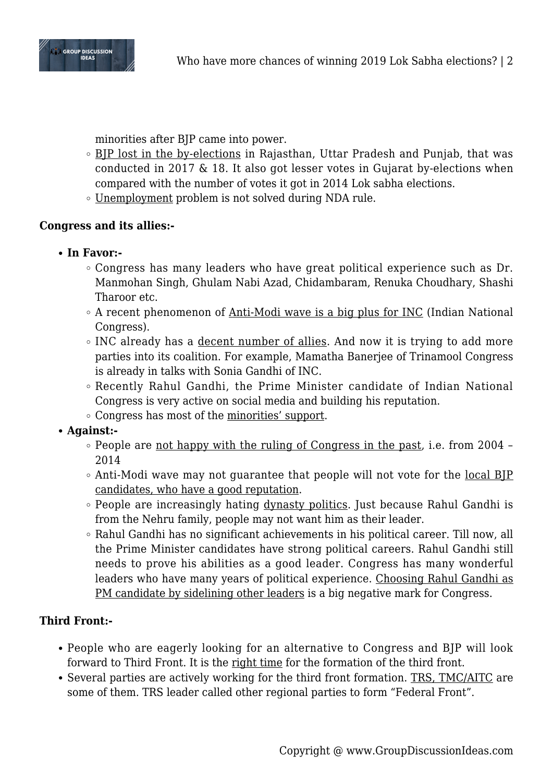

minorities after BJP came into power.

- BJP lost in the by-elections in Rajasthan, Uttar Pradesh and Punjab, that was conducted in 2017 & 18. It also got lesser votes in Gujarat by-elections when compared with the number of votes it got in 2014 Lok sabha elections.
- Unemployment problem is not solved during NDA rule.

### **Congress and its allies:-**

- **In Favor:-**
	- Congress has many leaders who have great political experience such as Dr. Manmohan Singh, Ghulam Nabi Azad, Chidambaram, Renuka Choudhary, Shashi Tharoor etc.
	- $\circ$  A recent phenomenon of Anti-Modi wave is a big plus for INC (Indian National Congress).
	- INC already has a decent number of allies. And now it is trying to add more parties into its coalition. For example, Mamatha Banerjee of Trinamool Congress is already in talks with Sonia Gandhi of INC.
	- Recently Rahul Gandhi, the Prime Minister candidate of Indian National Congress is very active on social media and building his reputation.
	- Congress has most of the minorities' support.
- **Against:-**
	- People are not happy with the ruling of Congress in the past, i.e. from 2004 -2014
	- $\circ$  Anti-Modi wave may not guarantee that people will not vote for the local BIP candidates, who have a good reputation.
	- People are increasingly hating dynasty politics. Just because Rahul Gandhi is from the Nehru family, people may not want him as their leader.
	- Rahul Gandhi has no significant achievements in his political career. Till now, all the Prime Minister candidates have strong political careers. Rahul Gandhi still needs to prove his abilities as a good leader. Congress has many wonderful leaders who have many years of political experience. Choosing Rahul Gandhi as PM candidate by sidelining other leaders is a big negative mark for Congress.

### **Third Front:-**

- People who are eagerly looking for an alternative to Congress and BJP will look forward to Third Front. It is the right time for the formation of the third front.
- Several parties are actively working for the third front formation. TRS, TMC/AITC are some of them. TRS leader called other regional parties to form "Federal Front".